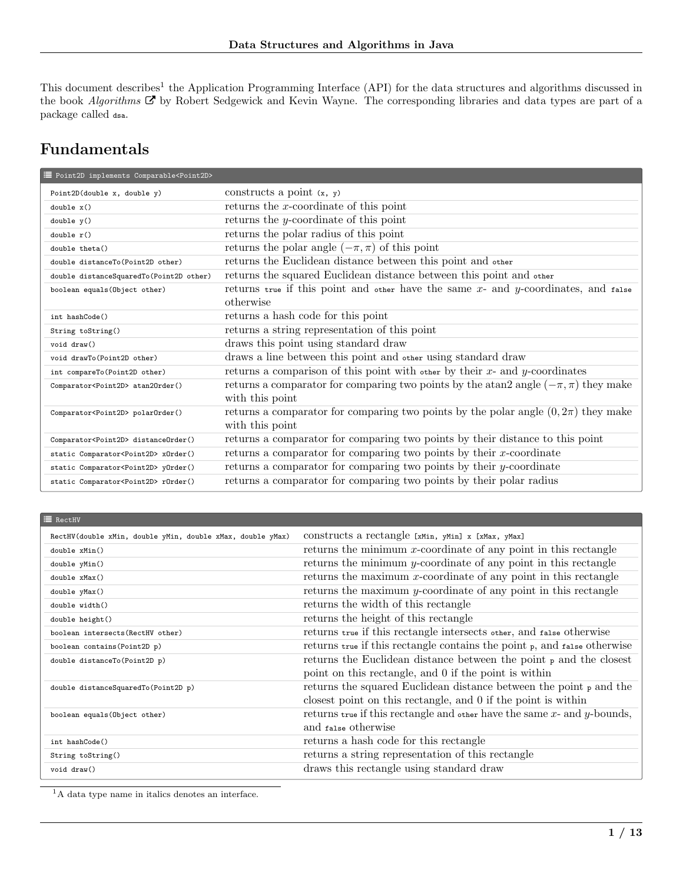This document describes<sup>[1](#page-0-0)</sup> the Application Programming Interface (API) for the data structures and algorithms discussed in the book [Algorithms](https://www.amazon.com/Algorithms-4th-Robert-Sedgewick/dp/032157351X)  $\vec{C}$  by Robert Sedgewick and Kevin Wayne. The corresponding libraries and data types are part of a package called dsa.

## Fundamentals

| Foint2D implements Comparable <point2d></point2d> |                                                                                          |
|---------------------------------------------------|------------------------------------------------------------------------------------------|
| Point2D(double $x$ , double $y$ )                 | constructs a point $(x, y)$                                                              |
| double x()                                        | returns the $x$ -coordinate of this point                                                |
| double y()                                        | returns the <i>y</i> -coordinate of this point                                           |
| double r()                                        | returns the polar radius of this point                                                   |
| double theta()                                    | returns the polar angle $(-\pi, \pi)$ of this point                                      |
| double distanceTo(Point2D other)                  | returns the Euclidean distance between this point and other                              |
| double distanceSquaredTo(Point2D other)           | returns the squared Euclidean distance between this point and other                      |
| boolean equals (Object other)                     | returns true if this point and other have the same $x$ - and $y$ -coordinates, and false |
|                                                   | otherwise                                                                                |
| int hashCode()                                    | returns a hash code for this point                                                       |
| String toString()                                 | returns a string representation of this point                                            |
| void draw()                                       | draws this point using standard draw                                                     |
| void drawTo(Point2D other)                        | draws a line between this point and other using standard draw                            |
| int compareTo(Point2D other)                      | returns a comparison of this point with other by their $x$ - and $y$ -coordinates        |
| Comparator <point2d> atan20rder()</point2d>       | returns a comparator for comparing two points by the atan2 angle $(-\pi, \pi)$ they make |
|                                                   | with this point                                                                          |
| Comparator <point2d> polarOrder()</point2d>       | returns a comparator for comparing two points by the polar angle $(0, 2\pi)$ they make   |
|                                                   | with this point                                                                          |
| Comparator <point2d> distanceOrder()</point2d>    | returns a comparator for comparing two points by their distance to this point            |
| static Comparator <point2d> x0rder()</point2d>    | returns a comparator for comparing two points by their $x$ -coordinate                   |
| static Comparator <point2d> y0rder()</point2d>    | returns a comparator for comparing two points by their $y$ -coordinate                   |
| static Comparator <point2d>rOrder()</point2d>     | returns a comparator for comparing two points by their polar radius                      |

| <b>E</b> RectHV                                            |                                                                                             |
|------------------------------------------------------------|---------------------------------------------------------------------------------------------|
| RectHV(double xMin, double yMin, double xMax, double yMax) | CONSTRUCTS a rectangle [xMin, yMin] x [xMax, yMax]                                          |
| double xMin()                                              | returns the minimum $x$ -coordinate of any point in this rectangle                          |
| double yMin()                                              | returns the minimum $y$ -coordinate of any point in this rectangle                          |
| double xMax()                                              | returns the maximum $x$ -coordinate of any point in this rectangle                          |
| double yMax()                                              | returns the maximum $y$ -coordinate of any point in this rectangle                          |
| double width()                                             | returns the width of this rectangle                                                         |
| double height()                                            | returns the height of this rectangle                                                        |
| boolean intersects (RectHV other)                          | returns true if this rectangle intersects other, and false otherwise                        |
| boolean contains (Point2D p)                               | returns true if this rectangle contains the point $_{\rm P}$ , and $_{\rm false}$ otherwise |
| double distanceTo(Point2D p)                               | returns the Euclidean distance between the point $_{\rm P}$ and the closest                 |
|                                                            | point on this rectangle, and 0 if the point is within                                       |
| double distanceSquaredTo(Point2D p)                        | returns the squared Euclidean distance between the point $_{p}$ and the                     |
|                                                            | closest point on this rectangle, and 0 if the point is within                               |
| boolean equals (Object other)                              | returns true if this rectangle and other have the same $x$ - and $y$ -bounds,               |
|                                                            | and false otherwise                                                                         |
| int hashCode()                                             | returns a hash code for this rectangle                                                      |
| String toString()                                          | returns a string representation of this rectangle                                           |
| void draw()                                                | draws this rectangle using standard draw                                                    |

<span id="page-0-0"></span><sup>1</sup>A data type name in italics denotes an interface.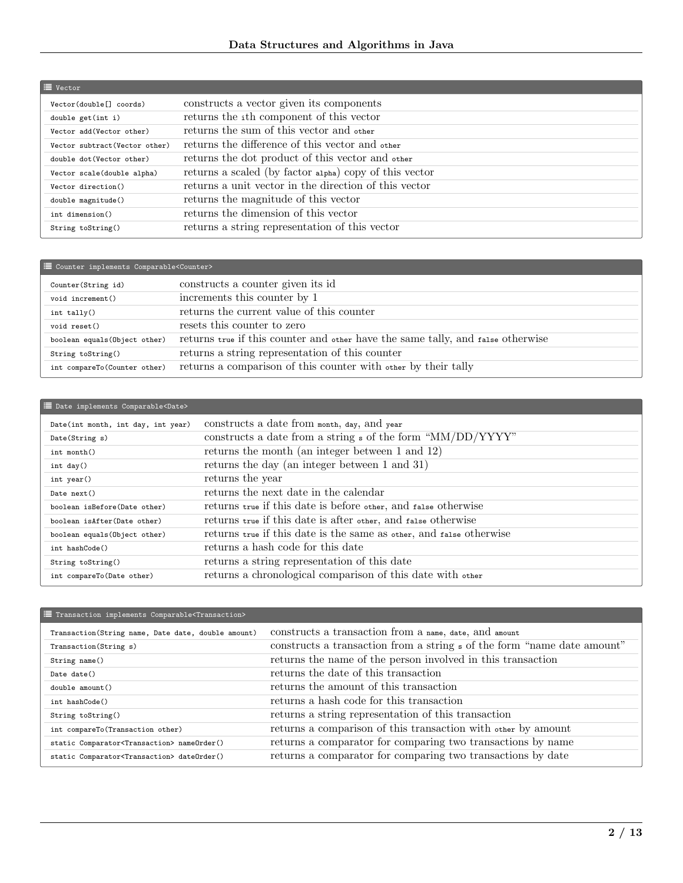| $\equiv$ Vector                     |                                                        |
|-------------------------------------|--------------------------------------------------------|
| Vector(double <sup>[]</sup> coords) | constructs a vector given its components               |
| double get(int i)                   | returns the ith component of this vector               |
| Vector add (Vector other)           | returns the sum of this vector and other               |
| Vector subtract (Vector other)      | returns the difference of this vector and other        |
| double dot (Vector other)           | returns the dot product of this vector and other       |
| Vector scale(double alpha)          | returns a scaled (by factor alpha) copy of this vector |
| Vector direction()                  | returns a unit vector in the direction of this vector  |
| double magnitude()                  | returns the magnitude of this vector                   |
| int dimension()                     | returns the dimension of this vector                   |
| String toString()                   | returns a string representation of this vector         |

| E Counter implements Comparable <counter></counter> |                                                                                 |  |
|-----------------------------------------------------|---------------------------------------------------------------------------------|--|
| Counter (String id)                                 | constructs a counter given its id                                               |  |
| void increment()                                    | increments this counter by 1                                                    |  |
| $int$ tally()                                       | returns the current value of this counter                                       |  |
| void reset()                                        | resets this counter to zero                                                     |  |
| boolean equals (Object other)                       | returns true if this counter and other have the same tally, and false otherwise |  |
| String toString()                                   | returns a string representation of this counter                                 |  |
| int compareTo(Counter other)                        | returns a comparison of this counter with other by their tally                  |  |

| Date implements Comparable <date></date> |                                                                        |
|------------------------------------------|------------------------------------------------------------------------|
| Date(int month, int day, int year)       | constructs a date from month, day, and year                            |
| Date(String s)                           | constructs a date from a string $\frac{1}{2}$ of the form "MM/DD/YYYY" |
| $int$ month()                            | returns the month (an integer between 1 and 12)                        |
| int day()                                | returns the day (an integer between 1 and 31)                          |
| int year()                               | returns the year                                                       |
| Date next()                              | returns the next date in the calendar                                  |
| boolean isBefore(Date other)             | returns true if this date is before other, and false otherwise         |
| boolean isAfter(Date other)              | returns true if this date is after other, and false otherwise          |
| boolean equals (Object other)            | returns true if this date is the same as other, and false otherwise    |
| int hashCode()                           | returns a hash code for this date                                      |
| String toString()                        | returns a string representation of this date                           |
| int compareTo(Date other)                | returns a chronological comparison of this date with other             |

## $\begin{tabular}{ll} \Xi\hline \Xi\hline \texttt{Transaction implements Compare} & \texttt{ComplexTransaction} \end{tabular}$

| Transaction(String name, Date date, double amount)        | constructs a transaction from a name, date, and amount                  |
|-----------------------------------------------------------|-------------------------------------------------------------------------|
| Transaction(String s)                                     | constructs a transaction from a string s of the form "name date amount" |
| String name()                                             | returns the name of the person involved in this transaction             |
| Date date()                                               | returns the date of this transaction                                    |
| double amount()                                           | returns the amount of this transaction                                  |
| int hashCode()                                            | returns a hash code for this transaction                                |
| String toString()                                         | returns a string representation of this transaction                     |
| int compareTo(Transaction other)                          | returns a comparison of this transaction with other by amount           |
| static Comparator <transaction> nameOrder()</transaction> | returns a comparator for comparing two transactions by name             |
| static Comparator <transaction> dateOrder()</transaction> | returns a comparator for comparing two transactions by date             |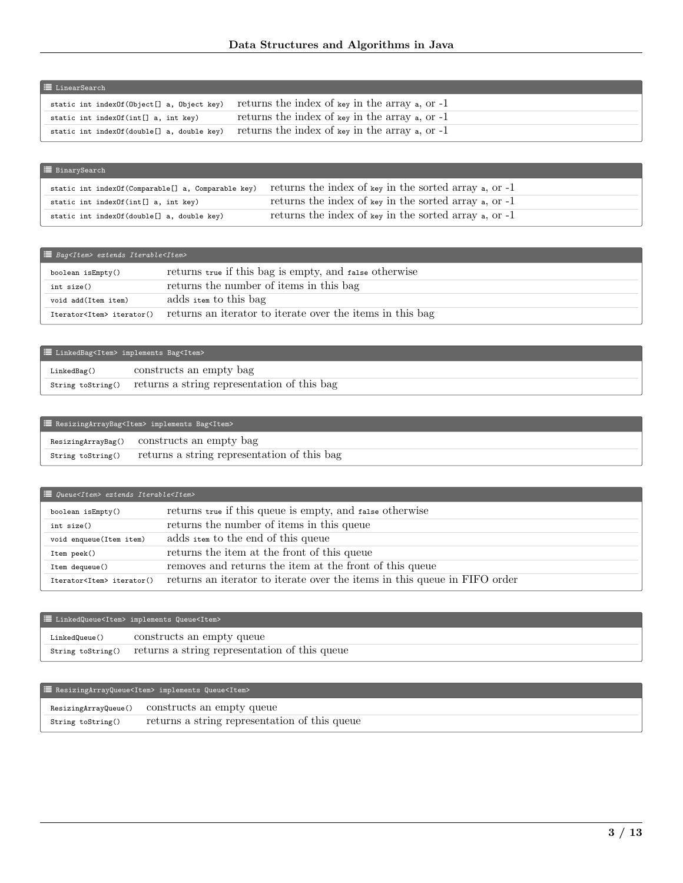| <b>E</b> LinearSearch                      |                                                        |  |
|--------------------------------------------|--------------------------------------------------------|--|
| static int indexOf(Object[] a, Object key) | returns the index of key in the array $\alpha$ , or -1 |  |
| static int indexOf(int[] a, int key)       | returns the index of key in the array $a$ , or $-1$    |  |
| static int indexOf(double[] a, double key) | returns the index of key in the array $\alpha$ , or -1 |  |

| ■ BinarySearch                                     |                                                               |
|----------------------------------------------------|---------------------------------------------------------------|
| static int indexOf(Comparable[] a, Comparable key) | returns the index of key in the sorted array $\alpha$ , or -1 |
| static int indexOf(int[] a, int key)               | returns the index of key in the sorted array $\alpha$ , or -1 |
| static int indexOf(double[] a, double key)         | returns the index of key in the sorted array $\alpha$ , or -1 |

| $\equiv$ Bag <item> extends Iterable<item></item></item> |                                                           |
|----------------------------------------------------------|-----------------------------------------------------------|
| boolean isEmpty()                                        | returns true if this bag is empty, and false otherwise    |
| int size()                                               | returns the number of items in this bag                   |
| void add(Item item)                                      | adds item to this bag                                     |
| Iterator <item> iterator()</item>                        | returns an iterator to iterate over the items in this bag |

| E LinkedBag <item> implements Bag<item></item></item> |                                                                 |
|-------------------------------------------------------|-----------------------------------------------------------------|
| LinkedBag()                                           | constructs an empty bag                                         |
|                                                       | string to String () returns a string representation of this bag |

| ResizingArrayBag <item> implements Bag<item></item></item> |                                             |
|------------------------------------------------------------|---------------------------------------------|
|                                                            | ResizingArrayBag() constructs an empty bag  |
| String toString()                                          | returns a string representation of this bag |

| $\equiv$ Queue <item> extends Iterable<item></item></item> |                                                                           |
|------------------------------------------------------------|---------------------------------------------------------------------------|
| boolean isEmpty()                                          | returns true if this queue is empty, and false otherwise                  |
| int size()                                                 | returns the number of items in this queue                                 |
| void enqueue(Item item)                                    | adds item to the end of this queue                                        |
| Item peek()                                                | returns the item at the front of this queue                               |
| Item dequeue()                                             | removes and returns the item at the front of this queue                   |
| Iterator <item> iterator()</item>                          | returns an iterator to iterate over the items in this queue in FIFO order |

| E LinkedQueue <item> implements Queue<item></item></item> |                                                                 |  |
|-----------------------------------------------------------|-----------------------------------------------------------------|--|
| LinkedQueue()                                             | constructs an empty queue                                       |  |
|                                                           | String toString() returns a string representation of this queue |  |

## **E** ResizingArrayQueue<Item> implements Queue<Item>

| String toString() | returns a string representation of this queue |
|-------------------|-----------------------------------------------|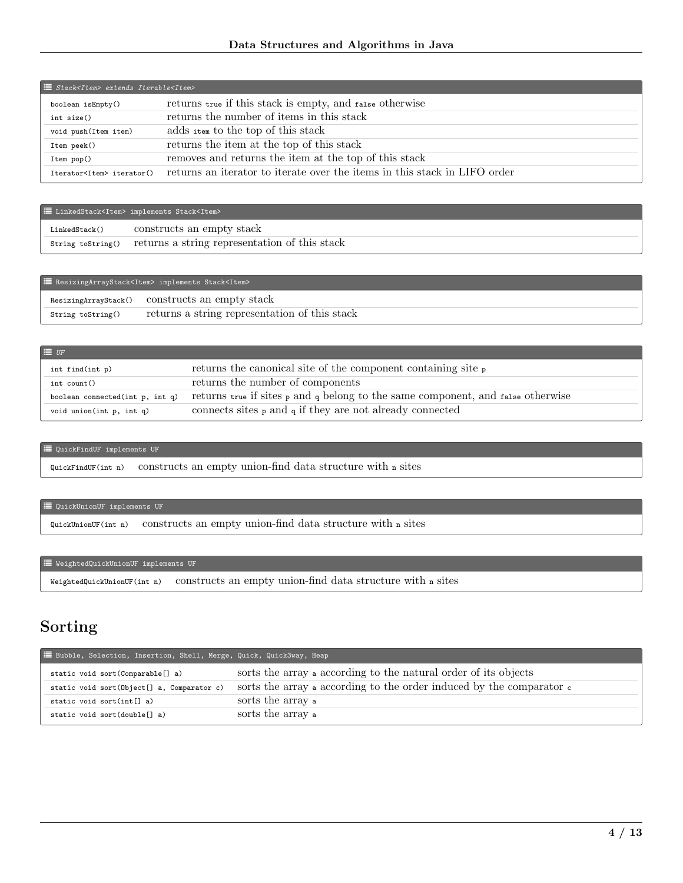| $\equiv$ Stack <item> extends Iterable<item></item></item> |                                                                           |  |
|------------------------------------------------------------|---------------------------------------------------------------------------|--|
| boolean isEmpty()                                          | returns true if this stack is empty, and false otherwise                  |  |
| int size()                                                 | returns the number of items in this stack                                 |  |
| void push(Item item)                                       | adds item to the top of this stack                                        |  |
| Item peek()                                                | returns the item at the top of this stack                                 |  |
| Item pop()                                                 | removes and returns the item at the top of this stack                     |  |
| Iterator <item> iterator()</item>                          | returns an iterator to iterate over the items in this stack in LIFO order |  |

| E LinkedStack <item> implements Stack<item></item></item> |                                                                  |  |
|-----------------------------------------------------------|------------------------------------------------------------------|--|
| LinkedStack()                                             | constructs an empty stack                                        |  |
|                                                           | string to String() returns a string representation of this stack |  |

| ResizingArrayStack <item> implements Stack<item></item></item> |                                               |  |
|----------------------------------------------------------------|-----------------------------------------------|--|
| ResizingArrayStack()                                           | constructs an empty stack                     |  |
| String toString()                                              | returns a string representation of this stack |  |

| $\equiv$ $U$ F                  |                                                                                                |
|---------------------------------|------------------------------------------------------------------------------------------------|
| int find(int p)                 | returns the canonical site of the component containing site $\frac{1}{\sqrt{2}}$               |
| int count()                     | returns the number of components                                                               |
| boolean connected(int p, int q) | returns true if sites $_{P}$ and $_{q}$ belong to the same component, and $_{false}$ otherwise |
| void union(int $p$ , int $q$ )  | connects sites $_{p}$ and $_{q}$ if they are not already connected                             |

### $\equiv$  QuickFindUF implements UF

QuickFindUF(int n) constructs an empty union-find data structure with <sup>n</sup> sites

### $\mathrel{\mathop:}=$  QuickUnionUF implements UF

QuickUnionUF(int n) constructs an empty union-find data structure with <sup>n</sup> sites

### $\quad \ \ \, \mathrel{\mathop:}= \mathbb{W}\text{eightedQuickUnion}\text{UF}\text{ implements }\text{UF}$

WeightedQuickUnionUF(int n) constructs an empty union-find data structure with <sup>n</sup> sites

## Sorting

| E Bubble, Selection, Insertion, Shell, Merge, Quick, Quick3way, Heap |                                                                               |
|----------------------------------------------------------------------|-------------------------------------------------------------------------------|
| static void sort (Comparable[] a)                                    | sorts the array a according to the natural order of its objects               |
| static void sort (Object[] a, Comparator c)                          | sorts the array a according to the order induced by the comparator $\epsilon$ |
| static void sort(int $[]$ a)                                         | sorts the array a                                                             |
| static void sort(double[] a)                                         | sorts the array a                                                             |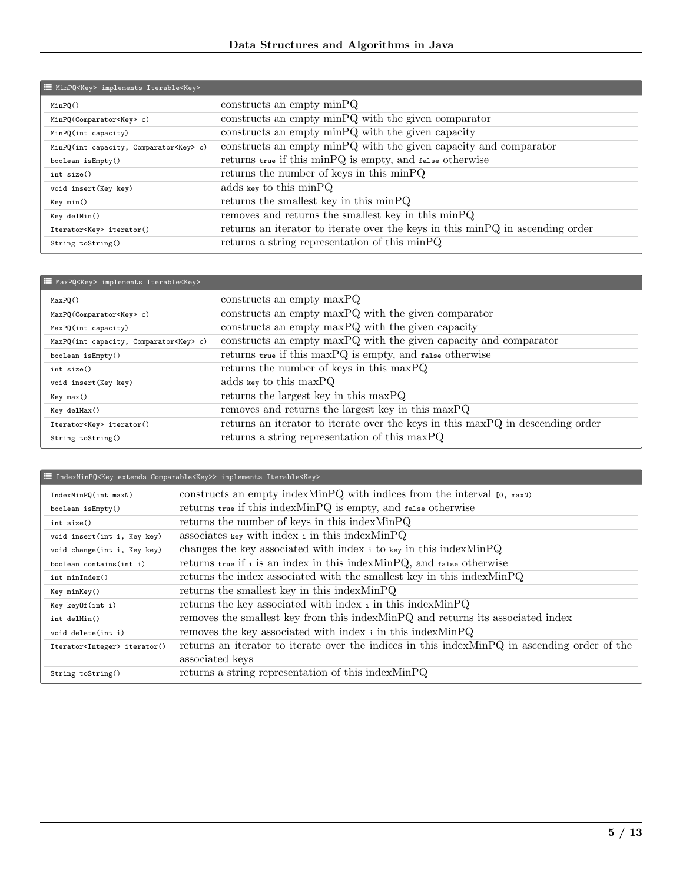| MinPQ <key> implements Iterable<key></key></key> |                                                                               |
|--------------------------------------------------|-------------------------------------------------------------------------------|
| MinPQ()                                          | $constructs$ an empty $minPQ$                                                 |
| MinPQ(Comparator <key>c)</key>                   | constructs an empty minPQ with the given comparator                           |
| MinPQ(int capacity)                              | constructs an empty minPQ with the given capacity                             |
| MinPQ(int capacity, Comparator <key>c)</key>     | constructs an empty minPQ with the given capacity and comparator              |
| boolean isEmpty()                                | returns true if this minPQ is empty, and false otherwise                      |
| int size()                                       | returns the number of keys in this minPQ                                      |
| void insert (Key key)                            | adds key to this $\text{min} \space \space PQ$                                |
| Key min()                                        | returns the smallest key in this minPQ                                        |
| Key delMin()                                     | removes and returns the smallest key in this minPQ                            |
| Iterator <key> iterator()</key>                  | returns an iterator to iterate over the keys in this minPQ in ascending order |
| String toString()                                | returns a string representation of this minPQ                                 |

| MaxPQ <key> implements Iterable<key></key></key> |                                                                                |  |
|--------------------------------------------------|--------------------------------------------------------------------------------|--|
| MaxPQ()                                          | $constructs$ an empty $maxPQ$                                                  |  |
| MaxPQ(Comparator <key>c)</key>                   | constructs an empty maxPQ with the given comparator                            |  |
| MaxPQ(int capacity)                              | constructs an empty maxPQ with the given capacity                              |  |
| MaxPQ(int capacity, Comparator <key>c)</key>     | constructs an empty maxPQ with the given capacity and comparator               |  |
| boolean isEmpty()                                | returns true if this maxPQ is empty, and false otherwise                       |  |
| int size()                                       | returns the number of keys in this maxPQ                                       |  |
| void insert (Key key)                            | adds key to this $maxPQ$                                                       |  |
| Key max()                                        | returns the largest key in this maxPQ                                          |  |
| Key delMax()                                     | removes and returns the largest key in this maxPQ                              |  |
| Iterator <key> iterator()</key>                  | returns an iterator to iterate over the keys in this maxPQ in descending order |  |
| String toString()                                | returns a string representation of this maxPQ                                  |  |

| <sup>1</sup> IndexMinPQ <key comparable<key="" extends="">&gt; implements Iterable<key></key></key> |                                                                                               |
|-----------------------------------------------------------------------------------------------------|-----------------------------------------------------------------------------------------------|
| IndexMinPQ(int maxN)                                                                                | constructs an empty index MinPQ with indices from the interval $[0, \text{max}]$              |
| boolean $i$ s $Empty()$                                                                             | returns true if this indexMinPQ is empty, and false otherwise                                 |
| int size()                                                                                          | returns the number of keys in this index MinPQ                                                |
| void insert(int i, Key key)                                                                         | associates $_{\text{key}}$ with index i in this index MinPQ                                   |
| void change(int i, Key key)                                                                         | changes the key associated with index i to key in this index MinPQ                            |
| boolean contains(int i)                                                                             | returns true if i is an index in this index MinPQ, and false otherwise                        |
| int minIndex()                                                                                      | returns the index associated with the smallest key in this index MinPQ                        |
| Key minKey()                                                                                        | returns the smallest key in this index MinPQ                                                  |
| Key keyOf(int i)                                                                                    | returns the key associated with index i in this index MinPQ                                   |
| int delMin()                                                                                        | removes the smallest key from this index MinPQ and returns its associated index               |
| void delete(int i)                                                                                  | removes the key associated with index i in this index MinPQ                                   |
| Iterator <integer> iterator()</integer>                                                             | returns an iterator to iterate over the indices in this index MinPQ in ascending order of the |
|                                                                                                     | associated keys                                                                               |
| String toString()                                                                                   | returns a string representation of this index MinPQ                                           |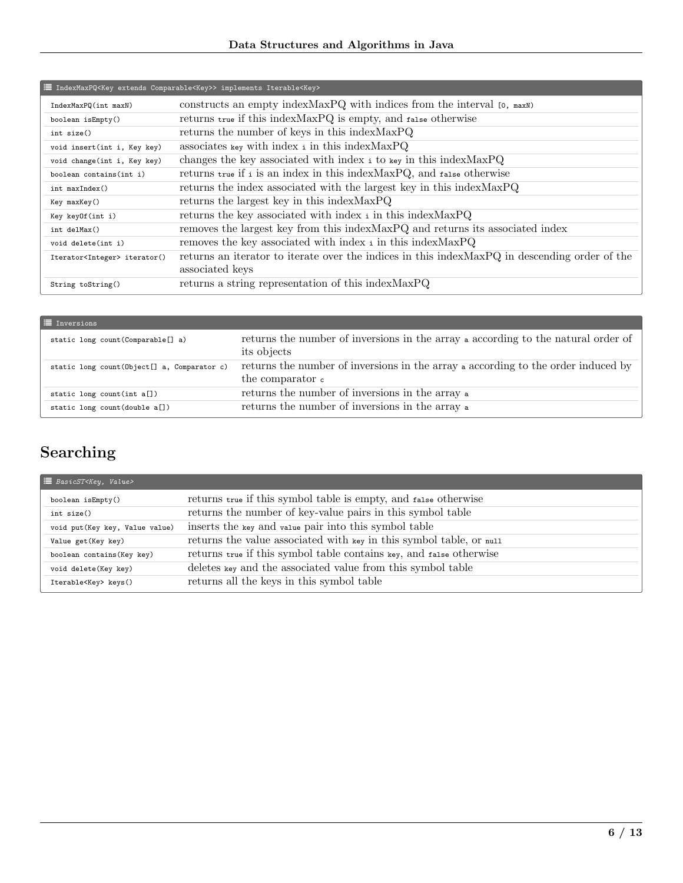| <sup>1</sup> IndexMaxPQ <key comparable<key="" extends="">&gt; implements Iterable<key></key></key> |                                                                                                |
|-----------------------------------------------------------------------------------------------------|------------------------------------------------------------------------------------------------|
| IndexMaxPQ(int maxN)                                                                                | constructs an empty index MaxPQ with indices from the interval $[0, \text{max})$               |
| boolean isEmpty()                                                                                   | returns true if this indexMaxPQ is empty, and false otherwise                                  |
| int size()                                                                                          | returns the number of keys in this index MaxPQ                                                 |
| void insert(int i, Key key)                                                                         | associates key with index $\pm$ in this index MaxPQ                                            |
| void change(int i, Key key)                                                                         | changes the key associated with index i to key in this index MaxPQ                             |
| boolean contains(int i)                                                                             | returns true if i is an index in this index MaxPQ, and $_{\text{false}}$ otherwise             |
| int maxIndex()                                                                                      | returns the index associated with the largest key in this index MaxPQ                          |
| Key maxKey()                                                                                        | returns the largest key in this index MaxPQ                                                    |
| Key keyOf(int i)                                                                                    | returns the key associated with index i in this index MaxPQ                                    |
| int delMax()                                                                                        | removes the largest key from this index MaxPQ and returns its associated index                 |
| void delete(int i)                                                                                  | removes the key associated with index i in this index MaxPQ                                    |
| Iterator <integer> iterator()</integer>                                                             | returns an iterator to iterate over the indices in this index MaxPQ in descending order of the |
|                                                                                                     | associated keys                                                                                |
| String toString()                                                                                   | returns a string representation of this index MaxPQ                                            |

| <b>E</b> Inversions                          |                                                                                                                |
|----------------------------------------------|----------------------------------------------------------------------------------------------------------------|
| static long count (Comparable [] a)          | returns the number of inversions in the array a according to the natural order of<br>its objects               |
| static long count (Object[] a, Comparator c) | returns the number of inversions in the array a according to the order induced by<br>the comparator $\epsilon$ |
| static long count $(int a[])$                | returns the number of inversions in the array a                                                                |
| static long count(double a[])                | returns the number of inversions in the array a                                                                |

# Searching

| $\equiv$ BasicST <key, value=""></key,> |                                                                     |
|-----------------------------------------|---------------------------------------------------------------------|
| boolean isEmpty()                       | returns true if this symbol table is empty, and false otherwise     |
| int size()                              | returns the number of key-value pairs in this symbol table          |
| void put (Key key, Value value)         | inserts the key and value pair into this symbol table               |
| Value get (Key key)                     | returns the value associated with key in this symbol table, or null |
| boolean contains (Key key)              | returns true if this symbol table contains key, and false otherwise |
| void delete(Key key)                    | deletes key and the associated value from this symbol table         |
| Iterable <key> keys()</key>             | returns all the keys in this symbol table                           |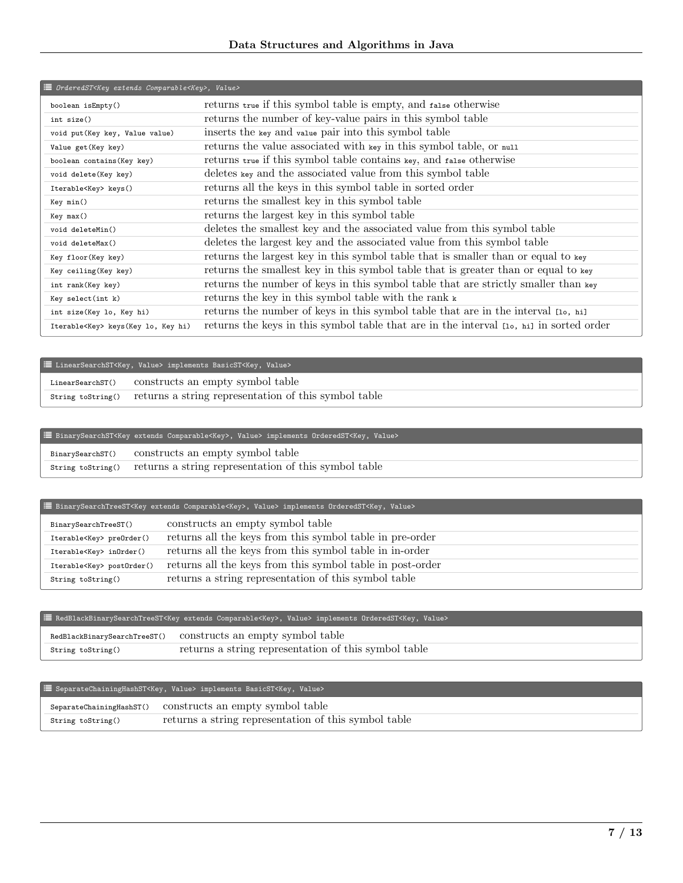| i≡ OrderedST <key comparable<key="" extends="">, Value&gt;</key> |                                                                                         |
|------------------------------------------------------------------|-----------------------------------------------------------------------------------------|
| boolean isEmpty()                                                | returns true if this symbol table is empty, and false otherwise                         |
| int size()                                                       | returns the number of key-value pairs in this symbol table                              |
| void put (Key key, Value value)                                  | inserts the key and value pair into this symbol table                                   |
| Value get (Key key)                                              | returns the value associated with key in this symbol table, or null                     |
| boolean contains (Key key)                                       | returns true if this symbol table contains key, and false otherwise                     |
| void delete(Key key)                                             | deletes key and the associated value from this symbol table                             |
| Iterable <key> keys()</key>                                      | returns all the keys in this symbol table in sorted order                               |
| Key min()                                                        | returns the smallest key in this symbol table                                           |
| Key max()                                                        | returns the largest key in this symbol table                                            |
| void deleteMin()                                                 | deletes the smallest key and the associated value from this symbol table                |
| void deleteMax()                                                 | deletes the largest key and the associated value from this symbol table                 |
| Key floor(Key key)                                               | returns the largest key in this symbol table that is smaller than or equal to key       |
| Key ceiling (Key key)                                            | returns the smallest key in this symbol table that is greater than or equal to key      |
| int rank(Key key)                                                | returns the number of keys in this symbol table that are strictly smaller than key      |
| Key select(int k)                                                | returns the key in this symbol table with the rank $\kappa$                             |
| int size(Key lo, Key hi)                                         | returns the number of keys in this symbol table that are in the interval [10, hi]       |
| Iterable <key> keys (Key lo, Key hi)</key>                       | returns the keys in this symbol table that are in the interval [10, hi] in sorted order |

|                  | E LinearSearchST <key, value=""> implements BasicST<key, value=""></key,></key,> |
|------------------|----------------------------------------------------------------------------------|
| LinearSearchST() | constructs an empty symbol table                                                 |
|                  | string to String() returns a string representation of this symbol table          |

## ² BinarySearchST<Key extends Comparable<Key>, Value> implements OrderedST<Key, Value>

| BinarySearchST()  | constructs an empty symbol table                     |
|-------------------|------------------------------------------------------|
| String toString() | returns a string representation of this symbol table |

## ² BinarySearchTreeST<Key extends Comparable<Key>, Value> implements OrderedST<Key, Value>

| BinarySearchTreeST()             | constructs an empty symbol table                          |
|----------------------------------|-----------------------------------------------------------|
| Iterable <key> preOrder()</key>  | returns all the keys from this symbol table in pre-order  |
| Iterable <key> inOrder()</key>   | returns all the keys from this symbol table in in-order   |
| Iterable <key> post0rder()</key> | returns all the keys from this symbol table in post-order |
| String toString()                | returns a string representation of this symbol table      |

## ² RedBlackBinarySearchTreeST<Key extends Comparable<Key>, Value> implements OrderedST<Key, Value>

|                   | RedBlackBinarySearchTreeST() constructs an empty symbol table |
|-------------------|---------------------------------------------------------------|
| String toString() | returns a string representation of this symbol table          |

## ² SeparateChainingHashST<Key, Value> implements BasicST<Key, Value>

|                   | SeparateChainingHashST() constructs an empty symbol table |
|-------------------|-----------------------------------------------------------|
| String toString() | returns a string representation of this symbol table      |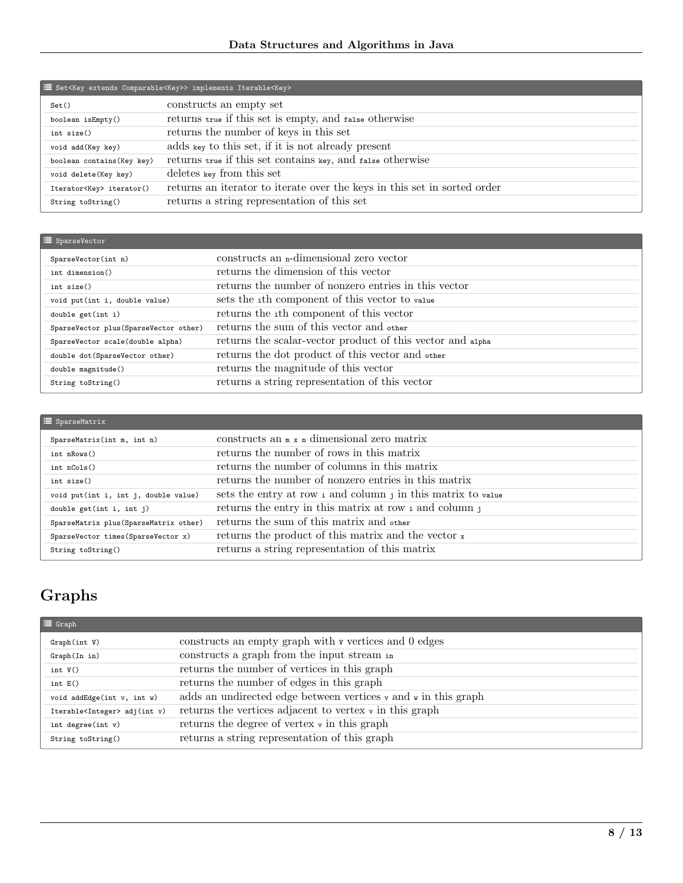| E Set <key comparable<key="" extends="">&gt; implements Iterable<key></key></key> |                                                                          |  |
|-----------------------------------------------------------------------------------|--------------------------------------------------------------------------|--|
| Set()                                                                             | constructs an empty set                                                  |  |
| boolean isEmpty()                                                                 | returns true if this set is empty, and false otherwise                   |  |
| int size()                                                                        | returns the number of keys in this set                                   |  |
| void add (Key key)                                                                | adds key to this set, if it is not already present                       |  |
| boolean contains (Key key)                                                        | returns true if this set contains key, and false otherwise               |  |
| void delete(Key key)                                                              | deletes key from this set                                                |  |
| Iterator <key> iterator()</key>                                                   | returns an iterator to iterate over the keys in this set in sorted order |  |
| String toString()                                                                 | returns a string representation of this set                              |  |

| $\equiv$ SparseVector                  |                                                            |
|----------------------------------------|------------------------------------------------------------|
| SparseVector(int n)                    | constructs an <i>n</i> -dimensional zero vector            |
| int dimension()                        | returns the dimension of this vector                       |
| int size()                             | returns the number of nonzero entries in this vector       |
| void put(int i, double value)          | sets the ith component of this vector to value             |
| double get(int i)                      | returns the ith component of this vector                   |
| SparseVector plus (SparseVector other) | returns the sum of this vector and other                   |
| SparseVector scale(double alpha)       | returns the scalar-vector product of this vector and alpha |
| double dot (SparseVector other)        | returns the dot product of this vector and other           |
| double magnitude()                     | returns the magnitude of this vector                       |
| String toString()                      | returns a string representation of this vector             |

| $\equiv$ SparseMatrix                  |                                                                      |
|----------------------------------------|----------------------------------------------------------------------|
| SparseMatrix(int m, int n)             | constructs an $\mathbb{R} \times \mathbb{R}$ dimensional zero matrix |
| int nRows()                            | returns the number of rows in this matrix                            |
| int nCols()                            | returns the number of columns in this matrix                         |
| int size()                             | returns the number of nonzero entries in this matrix                 |
| void put(int i, int j, double value)   | sets the entry at row i and column j in this matrix to value         |
| double get(int i, int j)               | returns the entry in this matrix at row i and column j               |
| SparseMatrix plus (SparseMatrix other) | returns the sum of this matrix and other                             |
| SparseVector times(SparseVector x)     | returns the product of this matrix and the vector x                  |
| String toString()                      | returns a string representation of this matrix                       |

# Graphs

| $\equiv$ Graph                          |                                                                                      |
|-----------------------------------------|--------------------------------------------------------------------------------------|
| Graph(int V)                            | constructs an empty graph with v vertices and 0 edges                                |
| Graph(In in)                            | constructs a graph from the input stream in                                          |
| int $V()$                               | returns the number of vertices in this graph                                         |
| int E()                                 | returns the number of edges in this graph                                            |
| void addEdge(int v, int w)              | adds an undirected edge between vertices $\mathbf{v}$ and $\mathbf{v}$ in this graph |
| Iterable <integer> adj(int v)</integer> | returns the vertices adjacent to vertex $\mathbf{v}$ in this graph                   |
| int degree(int $v$ )                    | returns the degree of vertex $\mathbf{v}$ in this graph                              |
| String toString()                       | returns a string representation of this graph                                        |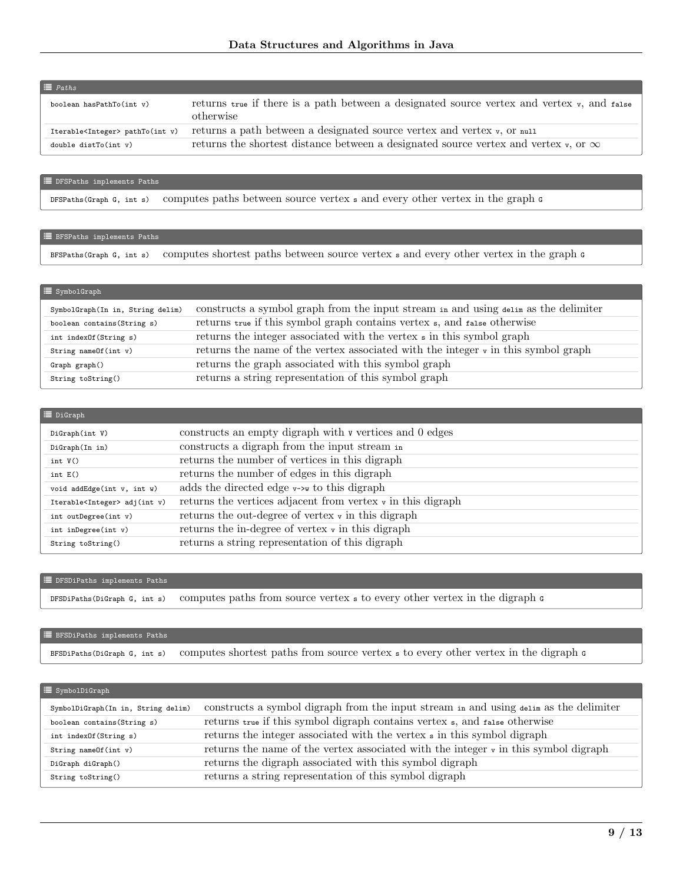| $\equiv$ Paths                             |                                                                                                         |
|--------------------------------------------|---------------------------------------------------------------------------------------------------------|
| boolean hasPathTo(int v)                   | returns true if there is a path between a designated source vertex and vertex v, and false<br>otherwise |
| Iterable <integer> pathTo(int v)</integer> | returns a path between a designated source vertex and vertex v, or null                                 |
| double dist $To(int v)$                    | returns the shortest distance between a designated source vertex and vertex $\mathbf{v}$ , or $\infty$  |

#### $\equiv$  DFSPaths implements Paths

DFSPaths(Graph G, int s) computes paths between source vertex s and every other vertex in the graph G

### $\equiv$  BFSPaths implements Paths

BFSPaths(Graph G, int s) computes shortest paths between source vertex s and every other vertex in the graph G

| $\equiv$ SymbolGraph             |                                                                                              |
|----------------------------------|----------------------------------------------------------------------------------------------|
| SymbolGraph(In in, String delim) | constructs a symbol graph from the input stream in and using delim as the delimiter          |
| boolean contains (String s)      | returns true if this symbol graph contains vertex s, and false otherwise                     |
| int indexOf(String s)            | returns the integer associated with the vertex $\sin$ this symbol graph                      |
| String name Of $(int v)$         | returns the name of the vertex associated with the integer $\mathbf{v}$ in this symbol graph |
| Graph graph()                    | returns the graph associated with this symbol graph                                          |
| String toString()                | returns a string representation of this symbol graph                                         |

| $\equiv$ DiGraph                        |                                                                        |
|-----------------------------------------|------------------------------------------------------------------------|
| DiGraph(int V)                          | constructs an empty digraph with v vertices and 0 edges                |
| DiGraph(In in)                          | constructs a digraph from the input stream in                          |
| int $V()$                               | returns the number of vertices in this digraph                         |
| int E()                                 | returns the number of edges in this digraph                            |
| void addEdge(int v, int w)              | adds the directed edge $v\rightarrow w$ to this digraph                |
| Iterable <integer> adj(int v)</integer> | returns the vertices adjacent from vertex $\mathbf{v}$ in this digraph |
| int outDegree(int v)                    | returns the out-degree of vertex $\mathbf{v}$ in this digraph          |
| int inDegree(int v)                     | returns the in-degree of vertex $\mathbf{v}$ in this digraph           |
| String toString()                       | returns a string representation of this digraph                        |

### **E** DFSDiPaths implements Paths

DFSDiPaths(DiGraph G, int s) computes paths from source vertex <sup>s</sup> to every other vertex in the digraph <sup>G</sup>

### **E** BFSDiPaths implements Paths

BFSDiPaths(DiGraph G, int s) computes shortest paths from source vertex <sup>s</sup> to every other vertex in the digraph <sup>G</sup>

| $\equiv$ SymbolDiGraph             |                                                                                                |
|------------------------------------|------------------------------------------------------------------------------------------------|
| SymbolDiGraph(In in, String delim) | constructs a symbol digraph from the input stream in and using $d$ -alim as the delimiter      |
| boolean contains(String s)         | returns true if this symbol digraph contains vertex s, and false otherwise                     |
| int indexOf(String s)              | returns the integer associated with the vertex s in this symbol digraph                        |
| String nameOf(int v)               | returns the name of the vertex associated with the integer $\mathbf{v}$ in this symbol digraph |
| DiGraph diGraph()                  | returns the digraph associated with this symbol digraph                                        |
| String toString()                  | returns a string representation of this symbol digraph                                         |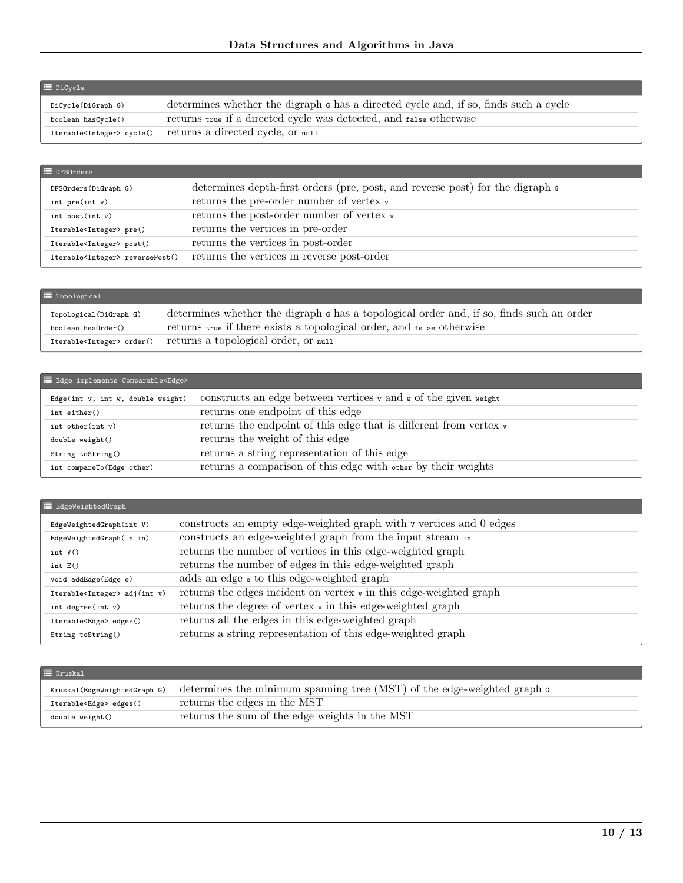| DiCycle(DiGraph G) | determines whether the digraph c has a directed cycle and, if so, finds such a cycle |
|--------------------|--------------------------------------------------------------------------------------|
| boolean hasCycle() | returns true if a directed cycle was detected, and false otherwise                   |
|                    | Iterable <integer> cycle() returns a directed cycle, or null</integer>               |

| $\equiv$ DFS0rders                         |                                                                                        |
|--------------------------------------------|----------------------------------------------------------------------------------------|
| DFSOrders(DiGraph G)                       | determines depth-first orders (pre, post, and reverse post) for the digraph $\epsilon$ |
| int $pre(int v)$                           | returns the pre-order number of vertex $\mathbf{v}$                                    |
| $int$ post(int $v$ )                       | returns the post-order number of vertex $\mathbf{v}$                                   |
| Iterable <integer> pre()</integer>         | returns the vertices in pre-order                                                      |
| Iterable <integer> post()</integer>        | returns the vertices in post-order                                                     |
| Iterable <integer> reversePost()</integer> | returns the vertices in reverse post-order                                             |

| $\equiv$ Topological                 |                                                                                          |
|--------------------------------------|------------------------------------------------------------------------------------------|
| Topological(DiGraph G)               | determines whether the digraph c has a topological order and, if so, finds such an order |
| boolean has0rder()                   | returns true if there exists a topological order, and false otherwise                    |
| Iterable <integer> order()</integer> | returns a topological order, or null                                                     |

## **E** Edge implements Comparable<Edge>

| Edge(int $v$ , int $w$ , double weight) | constructs an edge between vertices $\mathbf{v}$ and $\mathbf{w}$ of the given veight |
|-----------------------------------------|---------------------------------------------------------------------------------------|
| int either()                            | returns one endpoint of this edge                                                     |
| int other $(int v)$                     | returns the endpoint of this edge that is different from vertex $\mathbf{v}$          |
| double weight()                         | returns the weight of this edge                                                       |
| String toString()                       | returns a string representation of this edge                                          |
| int compareTo (Edge other)              | returns a comparison of this edge with other by their weights                         |

## $\Xi$ EdgeWeightedGraph

| EdgeWeightedGraph(int V)                | constructs an empty edge-weighted graph with v vertices and 0 edges           |
|-----------------------------------------|-------------------------------------------------------------------------------|
| EdgeWeightedGraph(In in)                | constructs an edge-weighted graph from the input stream in                    |
| int $V()$                               | returns the number of vertices in this edge-weighted graph                    |
| int $E()$                               | returns the number of edges in this edge-weighted graph                       |
| void addEdge(Edge e)                    | adds an edge $\epsilon$ to this edge-weighted graph                           |
| Iterable <integer> adj(int v)</integer> | returns the edges incident on vertex $\mathbf{v}$ in this edge-weighted graph |
| int degree(int $v$ )                    | returns the degree of vertex $\mathbf{v}$ in this edge-weighted graph         |
| Iterable <edge> edges()</edge>          | returns all the edges in this edge-weighted graph                             |
| String toString()                       | returns a string representation of this edge-weighted graph                   |

## $\equiv$  Kruskal

| Kruskal (EdgeWeightedGraph G)  | determines the minimum spanning tree (MST) of the edge-weighted graph $\epsilon$ |
|--------------------------------|----------------------------------------------------------------------------------|
| Iterable <edge> edges()</edge> | returns the edges in the MST                                                     |
| double weight()                | returns the sum of the edge weights in the MST                                   |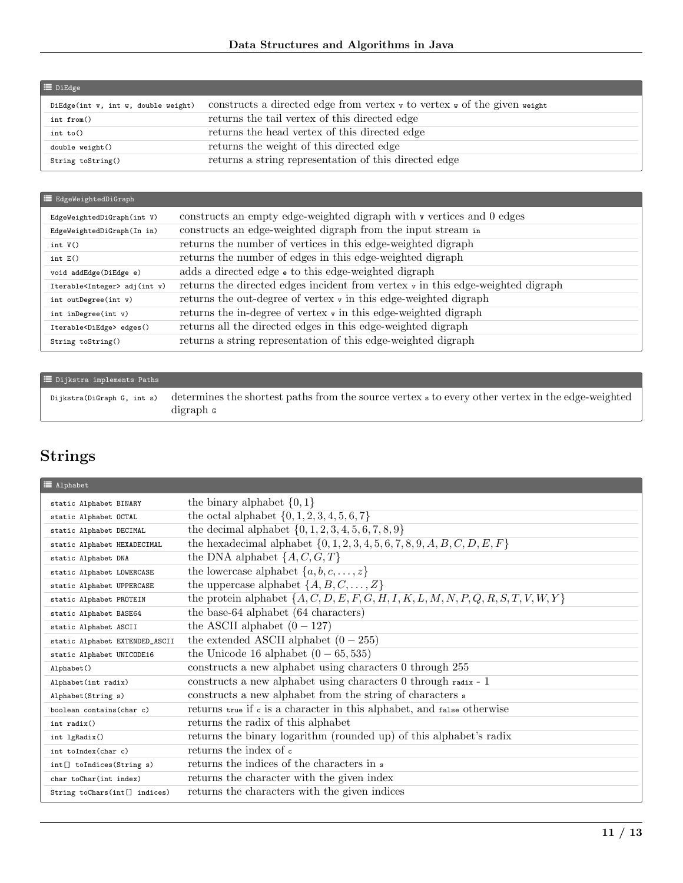| $\equiv$ DiEdge                     |                                                                                                |
|-------------------------------------|------------------------------------------------------------------------------------------------|
| DiEdge(int v, int w, double weight) | constructs a directed edge from vertex $\mathbf{v}$ to vertex $\mathbf{v}$ of the given veight |
| int from()                          | returns the tail vertex of this directed edge                                                  |
| int $to()$                          | returns the head vertex of this directed edge                                                  |
| double weight()                     | returns the weight of this directed edge                                                       |
| String toString()                   | returns a string representation of this directed edge                                          |

| E EdgeWeightedDiGraph                   |                                                                                            |
|-----------------------------------------|--------------------------------------------------------------------------------------------|
| EdgeWeightedDiGraph(int V)              | constructs an empty edge-weighted digraph with v vertices and 0 edges                      |
| EdgeWeightedDiGraph(In in)              | constructs an edge-weighted digraph from the input stream in                               |
| int $V()$                               | returns the number of vertices in this edge-weighted digraph                               |
| int $E()$                               | returns the number of edges in this edge-weighted digraph                                  |
| void addEdge(DiEdge e)                  | adds a directed edge $\bullet$ to this edge-weighted digraph                               |
| Iterable <integer> adj(int v)</integer> | returns the directed edges incident from vertex $\mathbf{v}$ in this edge-weighted digraph |
| int outDegree(int v)                    | returns the out-degree of vertex $\mathbf{v}$ in this edge-weighted digraph                |
| int inDegree(int v)                     | returns the in-degree of vertex $\mathbf{v}$ in this edge-weighted digraph                 |
| Iterable <diedge> edges()</diedge>      | returns all the directed edges in this edge-weighted digraph                               |
| String toString()                       | returns a string representation of this edge-weighted digraph                              |

| $\equiv$ Dijkstra implements Paths |                                                                                                                                                 |
|------------------------------------|-------------------------------------------------------------------------------------------------------------------------------------------------|
|                                    | $\mu$ Dijkstra(DiGraph G, int s) determines the shortest paths from the source vertex s to every other vertex in the edge-weighted<br>digraph c |

## Strings

| $\equiv$ Alphabet              |                                                                                       |
|--------------------------------|---------------------------------------------------------------------------------------|
| static Alphabet BINARY         | the binary alphabet $\{0,1\}$                                                         |
| static Alphabet OCTAL          | the octal alphabet $\{0, 1, 2, 3, 4, 5, 6, 7\}$                                       |
| static Alphabet DECIMAL        | the decimal alphabet $\{0, 1, 2, 3, 4, 5, 6, 7, 8, 9\}$                               |
| static Alphabet HEXADECIMAL    | the hexadecimal alphabet $\{0, 1, 2, 3, 4, 5, 6, 7, 8, 9, A, B, C, D, E, F\}$         |
| static Alphabet DNA            | the DNA alphabet $\{A, C, G, T\}$                                                     |
| static Alphabet LOWERCASE      | the lowercase alphabet $\{a, b, c, \ldots, z\}$                                       |
| static Alphabet UPPERCASE      | the uppercase alphabet $\{A, B, C, \ldots, Z\}$                                       |
| static Alphabet PROTEIN        | the protein alphabet $\{A, C, D, E, F, G, H, I, K, L, M, N, P, Q, R, S, T, V, W, Y\}$ |
| static Alphabet BASE64         | the base-64 alphabet (64 characters)                                                  |
| static Alphabet ASCII          | the ASCII alphabet $(0 - 127)$                                                        |
| static Alphabet EXTENDED_ASCII | the extended ASCII alphabet $(0-255)$                                                 |
| static Alphabet UNICODE16      | the Unicode 16 alphabet $(0-65, 535)$                                                 |
| Alphabet()                     | constructs a new alphabet using characters 0 through 255                              |
| Alphabet(int radix)            | constructs a new alphabet using characters 0 through radix - 1                        |
| Alphabet(String s)             | constructs a new alphabet from the string of characters $\frac{1}{s}$                 |
| boolean contains (char c)      | returns true if c is a character in this alphabet, and false otherwise                |
| $int$ radix()                  | returns the radix of this alphabet                                                    |
| int lgRadix()                  | returns the binary logarithm (rounded up) of this alphabet's radix                    |
| int toIndex(char c)            | returns the index of c                                                                |
| int[] toIndices(String s)      | returns the indices of the characters in s                                            |
| char toChar(int index)         | returns the character with the given index                                            |
| String toChars(int[] indices)  | returns the characters with the given indices                                         |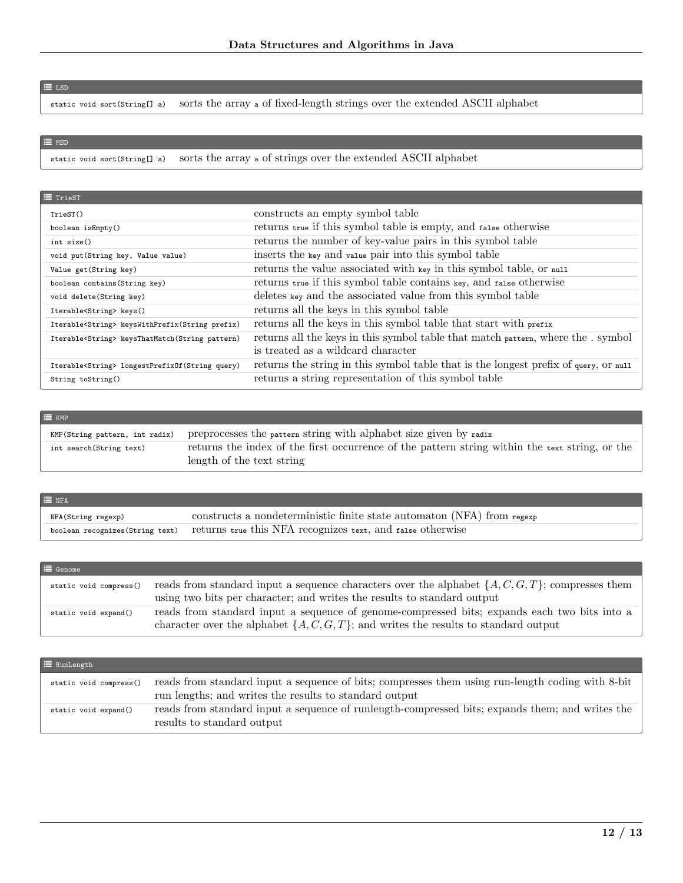### $\equiv$  LSD

 $\equiv$  MSD

static void sort(String[] a) sorts the array a of fixed-length strings over the extended ASCII alphabet

static void sort(String[] a) sorts the array a of strings over the extended ASCII alphabet

| $\equiv$ TrieST                                          |                                                                                      |
|----------------------------------------------------------|--------------------------------------------------------------------------------------|
| TriesT()                                                 | constructs an empty symbol table                                                     |
| boolean isEmpty()                                        | returns true if this symbol table is empty, and false otherwise                      |
| int size()                                               | returns the number of key-value pairs in this symbol table                           |
| void put (String key, Value value)                       | inserts the key and value pair into this symbol table                                |
| Value get (String key)                                   | returns the value associated with key in this symbol table, or null                  |
| boolean contains (String key)                            | returns true if this symbol table contains key, and false otherwise                  |
| void delete(String key)                                  | deletes key and the associated value from this symbol table                          |
| Iterable <string> keys()</string>                        | returns all the keys in this symbol table                                            |
| Iterable <string> keysWithPrefix(String prefix)</string> | returns all the keys in this symbol table that start with prefix                     |
| Iterable <string> keysThatMatch(String pattern)</string> | returns all the keys in this symbol table that match pattern, where the . symbol     |
|                                                          | is treated as a wildcard character                                                   |
| Iterable <string> longestPrefixOf(String query)</string> | returns the string in this symbol table that is the longest prefix of query, or null |
| String toString()                                        | returns a string representation of this symbol table                                 |

| $\equiv$ KMP                   |                                                                                                                             |
|--------------------------------|-----------------------------------------------------------------------------------------------------------------------------|
| KMP(String pattern, int radix) | preprocesses the pattern string with alphabet size given by radix                                                           |
| int search(String text)        | returns the index of the first occurrence of the pattern string within the text string, or the<br>length of the text string |

| $\equiv$ NFA                     |                                                                        |
|----------------------------------|------------------------------------------------------------------------|
| NFA(String regexp)               | constructs a nondeterministic finite state automaton (NFA) from regexp |
| boolean recognizes (String text) | returns true this NFA recognizes text, and false otherwise             |

| $\equiv$ Genome        |                                                                                                                                                                                          |
|------------------------|------------------------------------------------------------------------------------------------------------------------------------------------------------------------------------------|
| static void compress() | reads from standard input a sequence characters over the alphabet $\{A, C, G, T\}$ ; compresses them<br>using two bits per character; and writes the results to standard output          |
| static void expand()   | reads from standard input a sequence of genome-compressed bits; expands each two bits into a<br>character over the alphabet $\{A, C, G, T\}$ ; and writes the results to standard output |

| $\equiv$ RunLength     |                                                                                                                                                            |
|------------------------|------------------------------------------------------------------------------------------------------------------------------------------------------------|
| static void compress() | reads from standard input a sequence of bits; compresses them using run-length coding with 8-bit<br>run lengths; and writes the results to standard output |
| static void expand()   | reads from standard input a sequence of runlength-compressed bits; expands them; and writes the<br>results to standard output                              |